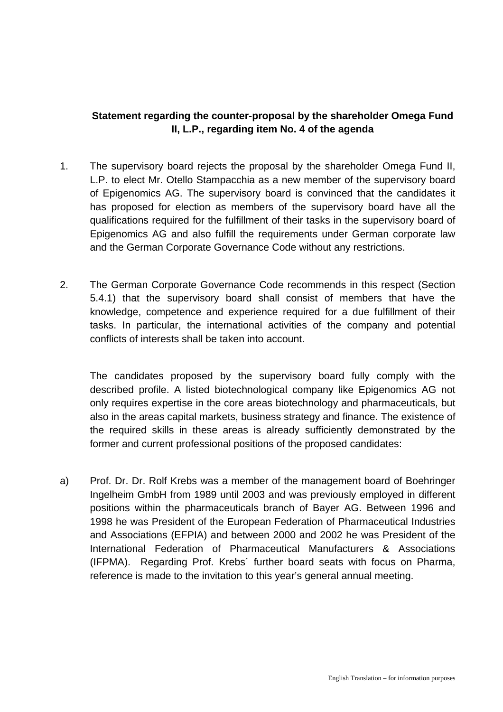## **Statement regarding the counter-proposal by the shareholder Omega Fund II, L.P., regarding item No. 4 of the agenda**

- 1. The supervisory board rejects the proposal by the shareholder Omega Fund II, L.P. to elect Mr. Otello Stampacchia as a new member of the supervisory board of Epigenomics AG. The supervisory board is convinced that the candidates it has proposed for election as members of the supervisory board have all the qualifications required for the fulfillment of their tasks in the supervisory board of Epigenomics AG and also fulfill the requirements under German corporate law and the German Corporate Governance Code without any restrictions.
- 2. The German Corporate Governance Code recommends in this respect (Section 5.4.1) that the supervisory board shall consist of members that have the knowledge, competence and experience required for a due fulfillment of their tasks. In particular, the international activities of the company and potential conflicts of interests shall be taken into account.

The candidates proposed by the supervisory board fully comply with the described profile. A listed biotechnological company like Epigenomics AG not only requires expertise in the core areas biotechnology and pharmaceuticals, but also in the areas capital markets, business strategy and finance. The existence of the required skills in these areas is already sufficiently demonstrated by the former and current professional positions of the proposed candidates:

a) Prof. Dr. Dr. Rolf Krebs was a member of the management board of Boehringer Ingelheim GmbH from 1989 until 2003 and was previously employed in different positions within the pharmaceuticals branch of Bayer AG. Between 1996 and 1998 he was President of the European Federation of Pharmaceutical Industries and Associations (EFPIA) and between 2000 and 2002 he was President of the International Federation of Pharmaceutical Manufacturers & Associations (IFPMA). Regarding Prof. Krebs´ further board seats with focus on Pharma, reference is made to the invitation to this year's general annual meeting.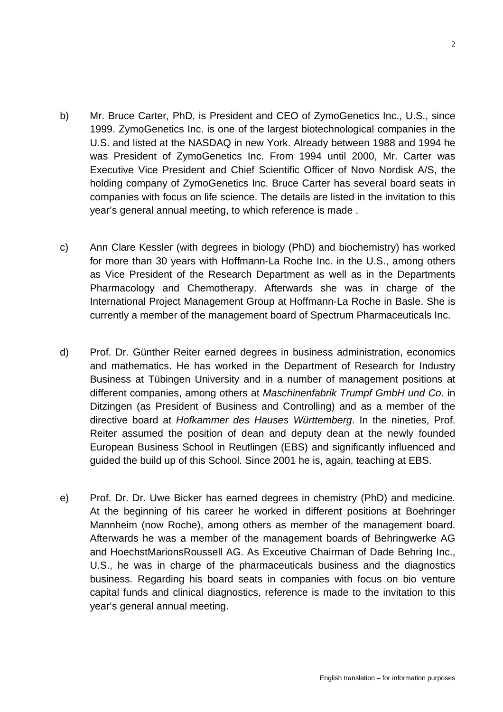- b) Mr. Bruce Carter, PhD, is President and CEO of ZymoGenetics Inc., U.S., since 1999. ZymoGenetics Inc. is one of the largest biotechnological companies in the U.S. and listed at the NASDAQ in new York. Already between 1988 and 1994 he was President of ZymoGenetics Inc. From 1994 until 2000, Mr. Carter was Executive Vice President and Chief Scientific Officer of Novo Nordisk A/S, the holding company of ZymoGenetics Inc. Bruce Carter has several board seats in companies with focus on life science. The details are listed in the invitation to this year's general annual meeting, to which reference is made .
- c) Ann Clare Kessler (with degrees in biology (PhD) and biochemistry) has worked for more than 30 years with Hoffmann-La Roche Inc. in the U.S., among others as Vice President of the Research Department as well as in the Departments Pharmacology and Chemotherapy. Afterwards she was in charge of the International Project Management Group at Hoffmann-La Roche in Basle. She is currently a member of the management board of Spectrum Pharmaceuticals Inc.
- d) Prof. Dr. Günther Reiter earned degrees in business administration, economics and mathematics. He has worked in the Department of Research for Industry Business at Tübingen University and in a number of management positions at different companies, among others at *Maschinenfabrik Trumpf GmbH und Co*. in Ditzingen (as President of Business and Controlling) and as a member of the directive board at *Hofkammer des Hauses Württemberg*. In the nineties, Prof. Reiter assumed the position of dean and deputy dean at the newly founded European Business School in Reutlingen (EBS) and significantly influenced and guided the build up of this School. Since 2001 he is, again, teaching at EBS.
- e) Prof. Dr. Dr. Uwe Bicker has earned degrees in chemistry (PhD) and medicine. At the beginning of his career he worked in different positions at Boehringer Mannheim (now Roche), among others as member of the management board. Afterwards he was a member of the management boards of Behringwerke AG and HoechstMarionsRoussell AG. As Exceutive Chairman of Dade Behring Inc., U.S., he was in charge of the pharmaceuticals business and the diagnostics business. Regarding his board seats in companies with focus on bio venture capital funds and clinical diagnostics, reference is made to the invitation to this year's general annual meeting.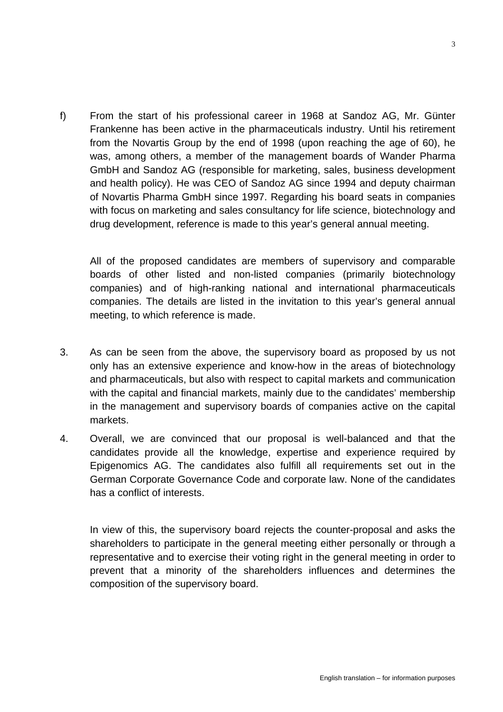f) From the start of his professional career in 1968 at Sandoz AG, Mr. Günter Frankenne has been active in the pharmaceuticals industry. Until his retirement from the Novartis Group by the end of 1998 (upon reaching the age of 60), he was, among others, a member of the management boards of Wander Pharma GmbH and Sandoz AG (responsible for marketing, sales, business development and health policy). He was CEO of Sandoz AG since 1994 and deputy chairman of Novartis Pharma GmbH since 1997. Regarding his board seats in companies with focus on marketing and sales consultancy for life science, biotechnology and drug development, reference is made to this year's general annual meeting.

All of the proposed candidates are members of supervisory and comparable boards of other listed and non-listed companies (primarily biotechnology companies) and of high-ranking national and international pharmaceuticals companies. The details are listed in the invitation to this year's general annual meeting, to which reference is made.

- 3. As can be seen from the above, the supervisory board as proposed by us not only has an extensive experience and know-how in the areas of biotechnology and pharmaceuticals, but also with respect to capital markets and communication with the capital and financial markets, mainly due to the candidates' membership in the management and supervisory boards of companies active on the capital markets.
- 4. Overall, we are convinced that our proposal is well-balanced and that the candidates provide all the knowledge, expertise and experience required by Epigenomics AG. The candidates also fulfill all requirements set out in the German Corporate Governance Code and corporate law. None of the candidates has a conflict of interests.

In view of this, the supervisory board rejects the counter-proposal and asks the shareholders to participate in the general meeting either personally or through a representative and to exercise their voting right in the general meeting in order to prevent that a minority of the shareholders influences and determines the composition of the supervisory board.